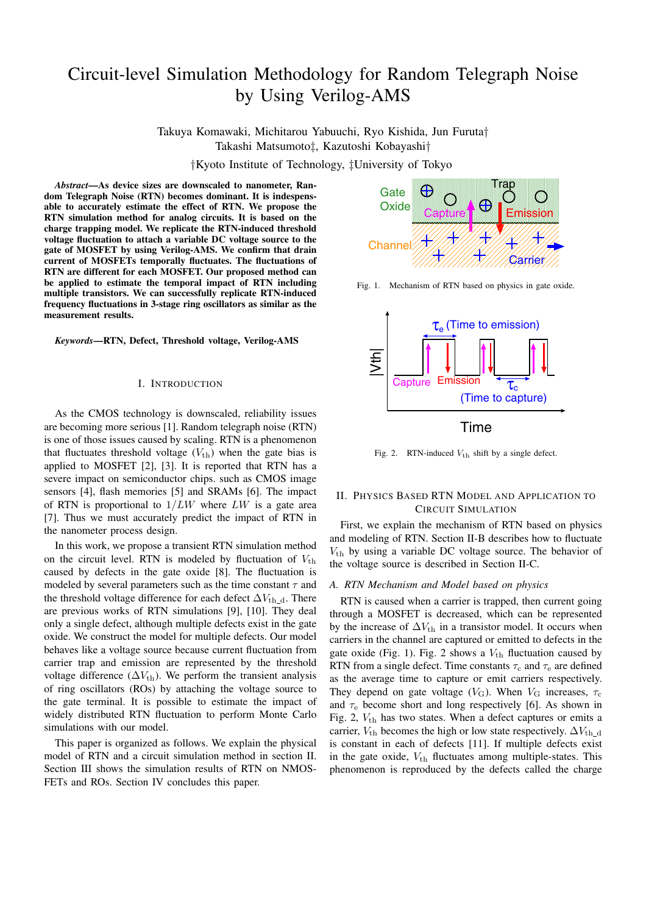# Circuit-level Simulation Methodology for Random Telegraph Noise by Using Verilog-AMS

Takuya Komawaki, Michitarou Yabuuchi, Ryo Kishida, Jun Furuta† Takashi Matsumoto‡, Kazutoshi Kobayashi†

†Kyoto Institute of Technology, ‡University of Tokyo

*Abstract***—As device sizes are downscaled to nanometer, Random Telegraph Noise (RTN) becomes dominant. It is indespensable to accurately estimate the effect of RTN. We propose the RTN simulation method for analog circuits. It is based on the charge trapping model. We replicate the RTN-induced threshold voltage fluctuation to attach a variable DC voltage source to the gate of MOSFET by using Verilog-AMS. We confirm that drain current of MOSFETs temporally fluctuates. The fluctuations of RTN are different for each MOSFET. Our proposed method can be applied to estimate the temporal impact of RTN including multiple transistors. We can successfully replicate RTN-induced frequency fluctuations in 3-stage ring oscillators as similar as the measurement results.**

*Keywords***—RTN, Defect, Threshold voltage, Verilog-AMS**

#### I. INTRODUCTION

As the CMOS technology is downscaled, reliability issues are becoming more serious [1]. Random telegraph noise (RTN) is one of those issues caused by scaling. RTN is a phenomenon that fluctuates threshold voltage  $(V_{\text{th}})$  when the gate bias is applied to MOSFET [2], [3]. It is reported that RTN has a severe impact on semiconductor chips. such as CMOS image sensors [4], flash memories [5] and SRAMs [6]. The impact of RTN is proportional to  $1/LW$  where  $LW$  is a gate area [7]. Thus we must accurately predict the impact of RTN in the nanometer process design.

In this work, we propose a transient RTN simulation method on the circuit level. RTN is modeled by fluctuation of  $V_{\text{th}}$ caused by defects in the gate oxide [8]. The fluctuation is modeled by several parameters such as the time constant  $\tau$  and the threshold voltage difference for each defect  $\Delta V_{th\_d}$ . There are previous works of RTN simulations [9], [10]. They deal only a single defect, although multiple defects exist in the gate oxide. We construct the model for multiple defects. Our model behaves like a voltage source because current fluctuation from carrier trap and emission are represented by the threshold voltage difference  $(\Delta V_{\text{th}})$ . We perform the transient analysis of ring oscillators (ROs) by attaching the voltage source to the gate terminal. It is possible to estimate the impact of widely distributed RTN fluctuation to perform Monte Carlo simulations with our model.

This paper is organized as follows. We explain the physical model of RTN and a circuit simulation method in section II. Section III shows the simulation results of RTN on NMOS-FETs and ROs. Section IV concludes this paper.



Fig. 1. Mechanism of RTN based on physics in gate oxide.



Time

Fig. 2. RTN-induced  $V_{\text{th}}$  shift by a single defect.

## II. PHYSICS BASED RTN MODEL AND APPLICATION TO CIRCUIT SIMULATION

First, we explain the mechanism of RTN based on physics and modeling of RTN. Section II-B describes how to fluctuate  $V_{\text{th}}$  by using a variable DC voltage source. The behavior of the voltage source is described in Section II-C.

### *A. RTN Mechanism and Model based on physics*

RTN is caused when a carrier is trapped, then current going through a MOSFET is decreased, which can be represented by the increase of  $\Delta V_{\text{th}}$  in a transistor model. It occurs when carriers in the channel are captured or emitted to defects in the gate oxide (Fig. 1). Fig. 2 shows a  $V_{th}$  fluctuation caused by RTN from a single defect. Time constants  $\tau_c$  and  $\tau_e$  are defined as the average time to capture or emit carriers respectively. They depend on gate voltage ( $V<sub>G</sub>$ ). When  $V<sub>G</sub>$  increases,  $\tau_c$ and  $\tau_e$  become short and long respectively [6]. As shown in Fig. 2,  $V_{\text{th}}$  has two states. When a defect captures or emits a carrier,  $V_{\text{th}}$  becomes the high or low state respectively.  $\Delta V_{\text{th-d}}$ is constant in each of defects [11]. If multiple defects exist in the gate oxide,  $V_{\text{th}}$  fluctuates among multiple-states. This phenomenon is reproduced by the defects called the charge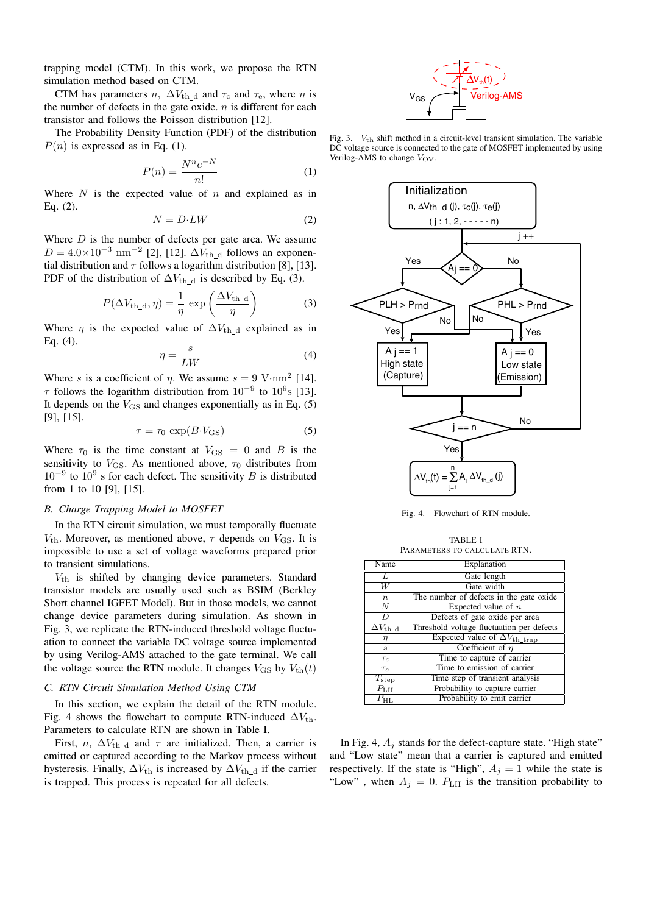trapping model (CTM). In this work, we propose the RTN simulation method based on CTM.

CTM has parameters  $n$ ,  $\Delta V_{\text{th_d}}$  and  $\tau_{\text{c}}$  and  $\tau_{\text{e}}$ , where  $n$  is the number of defects in the gate oxide.  $n$  is different for each transistor and follows the Poisson distribution [12].

The Probability Density Function (PDF) of the distribution  $P(n)$  is expressed as in Eq. (1).

$$
P(n) = \frac{N^n e^{-N}}{n!} \tag{1}
$$

Where  $N$  is the expected value of  $n$  and explained as in Eq. (2).

$$
N = D \cdot LW \tag{2}
$$

Where  $D$  is the number of defects per gate area. We assume  $D = 4.0 \times 10^{-3}$  nm<sup>-2</sup> [2], [12].  $\Delta V_{\text{th}_d}$  follows an exponential distribution and  $\tau$  follows a logarithm distribution [8], [13]. PDF of the distribution of  $\Delta V_{\text{th_d}}$  is described by Eq. (3).

$$
P(\Delta V_{\text{th\_d}}, \eta) = \frac{1}{\eta} \exp\left(\frac{\Delta V_{\text{th\_d}}}{\eta}\right)
$$
 (3)

Where  $\eta$  is the expected value of  $\Delta V_{\text{th d}}$  explained as in Eq. (4).

$$
\eta = \frac{s}{LW} \tag{4}
$$

Where *s* is a coefficient of  $\eta$ . We assume  $s = 9$  V⋅nm<sup>2</sup> [14].  $\tau$  follows the logarithm distribution from 10<sup>-9</sup> to 10<sup>9</sup>s [13]. It depends on the  $V_{\text{GS}}$  and changes exponentially as in Eq. (5) [9], [15].

$$
\tau = \tau_0 \, \exp(B \cdot V_{\rm GS}) \tag{5}
$$

Where  $\tau_0$  is the time constant at  $V_{\text{GS}} = 0$  and B is the sensitivity to  $V_{\text{GS}}$ . As mentioned above,  $\tau_0$  distributes from  $10^{-9}$  to  $10^{9}$  s for each defect. The sensitivity B is distributed from 1 to 10 [9], [15].

## *B. Charge Trapping Model to MOSFET*

In the RTN circuit simulation, we must temporally fluctuate  $V_{\text{th}}$ . Moreover, as mentioned above,  $\tau$  depends on  $V_{\text{GS}}$ . It is impossible to use a set of voltage waveforms prepared prior to transient simulations.

 $V_{th}$  is shifted by changing device parameters. Standard transistor models are usually used such as BSIM (Berkley Short channel IGFET Model). But in those models, we cannot change device parameters during simulation. As shown in Fig. 3, we replicate the RTN-induced threshold voltage fluctuation to connect the variable DC voltage source implemented by using Verilog-AMS attached to the gate terminal. We call the voltage source the RTN module. It changes  $V_{\text{GS}}$  by  $V_{\text{th}}(t)$ 

## *C. RTN Circuit Simulation Method Using CTM*

In this section, we explain the detail of the RTN module. Fig. 4 shows the flowchart to compute RTN-induced  $\Delta V_{\text{th}}$ . Parameters to calculate RTN are shown in Table I.

First, n,  $\Delta V_{\text{th}}$  d and  $\tau$  are initialized. Then, a carrier is emitted or captured according to the Markov process without hysteresis. Finally,  $\Delta V_{\text{th}}$  is increased by  $\Delta V_{\text{th}}$  d if the carrier is trapped. This process is repeated for all defects.



Fig. 3.  $V_{th}$  shift method in a circuit-level transient simulation. The variable DC voltage source is connected to the gate of MOSFET implemented by using Verilog-AMS to change  $V_{\text{OV}}$ .



Fig. 4. Flowchart of RTN module.

TABLE I PARAMETERS TO CALCULATE RTN.

| Name                              | Explanation                                    |  |  |
|-----------------------------------|------------------------------------------------|--|--|
| L                                 | Gate length                                    |  |  |
| $\overline{W}$                    | Gate width                                     |  |  |
| $\boldsymbol{n}$                  | The number of defects in the gate oxide        |  |  |
| $\overline{N}$                    | Expected value of $n$                          |  |  |
| D                                 | Defects of gate oxide per area                 |  |  |
| $\overline{\Delta V}_{\rm th\_d}$ | Threshold voltage fluctuation per defects      |  |  |
| $\eta$                            | Expected value of $\Delta V_{\text{th\_trap}}$ |  |  |
| $\boldsymbol{s}$                  | Coefficient of $\eta$                          |  |  |
| $\tau_c$                          | Time to capture of carrier                     |  |  |
| $\tau_{e}$                        | Time to emission of carrier                    |  |  |
| $\overline{T}_{\rm step}$         | Time step of transient analysis                |  |  |
| $\overline{P_{\rm LH}}$           | Probability to capture carrier                 |  |  |
| $P_{\rm HL}$                      | Probability to emit carrier                    |  |  |

In Fig. 4,  $A_i$  stands for the defect-capture state. "High state" and "Low state" mean that a carrier is captured and emitted respectively. If the state is "High",  $A_j = 1$  while the state is "Low", when  $A_j = 0$ .  $P_{\text{LH}}$  is the transition probability to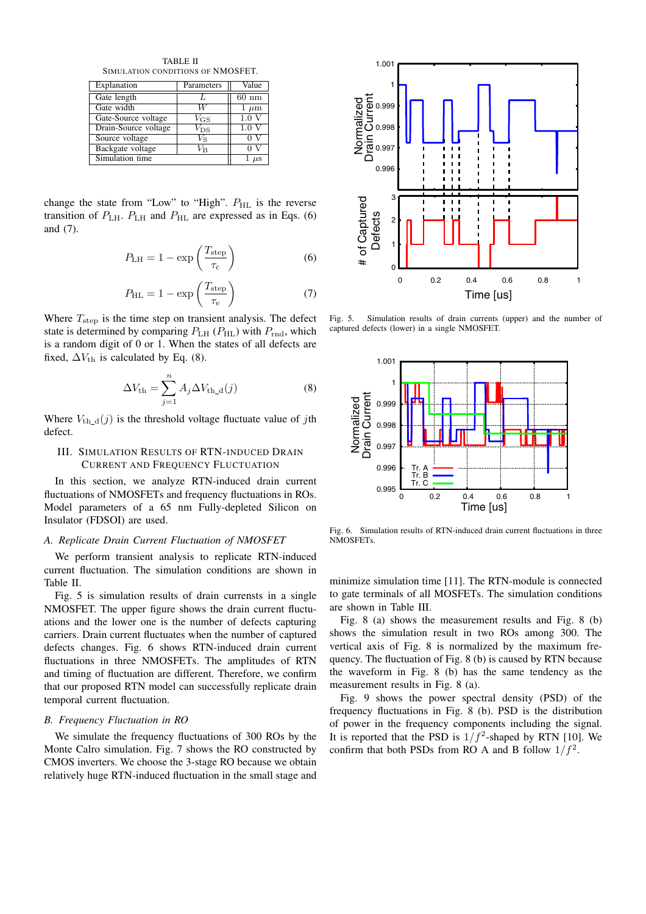TABLE II SIMULATION CONDITIONS OF NMOSFET.

| Explanation          | Parameters   | Value            |
|----------------------|--------------|------------------|
| Gate length          |              | $60 \text{ nm}$  |
| Gate width           | и            | $1 \mu m$        |
| Gate-Source voltage  | $V_{\rm GS}$ | 1.0V             |
| Drain-Source voltage | $V_{\rm DS}$ | 1.0 <sub>v</sub> |
| Source voltage       | Vs           |                  |
| Backgate voltage     | Vв           |                  |
| Simulation time      | $\mu$ s      |                  |

change the state from "Low" to "High".  $P_{HL}$  is the reverse transition of  $P_{\text{LH}}$ .  $P_{\text{LH}}$  and  $P_{\text{HL}}$  are expressed as in Eqs. (6) and (7).

$$
P_{\rm LH} = 1 - \exp\left(\frac{T_{\rm step}}{\tau_{\rm c}}\right) \tag{6}
$$

$$
P_{\rm HL} = 1 - \exp\left(\frac{T_{\rm step}}{\tau_{\rm e}}\right) \tag{7}
$$

Where  $T_{\text{step}}$  is the time step on transient analysis. The defect state is determined by comparing  $P_{\text{LH}}$  ( $P_{\text{HL}}$ ) with  $P_{\text{rnd}}$ , which is a random digit of 0 or 1. When the states of all defects are fixed,  $\Delta V_{\text{th}}$  is calculated by Eq. (8).

$$
\Delta V_{\rm th} = \sum_{j=1}^{n} A_j \Delta V_{\rm th\_d}(j) \tag{8}
$$

Where  $V_{\text{th-d}}(j)$  is the threshold voltage fluctuate value of jth defect.

## III. SIMULATION RESULTS OF RTN-INDUCED DRAIN CURRENT AND FREQUENCY FLUCTUATION

In this section, we analyze RTN-induced drain current fluctuations of NMOSFETs and frequency fluctuations in ROs. Model parameters of a 65 nm Fully-depleted Silicon on Insulator (FDSOI) are used.

### *A. Replicate Drain Current Fluctuation of NMOSFET*

We perform transient analysis to replicate RTN-induced current fluctuation. The simulation conditions are shown in Table II.

Fig. 5 is simulation results of drain currensts in a single NMOSFET. The upper figure shows the drain current fluctuations and the lower one is the number of defects capturing carriers. Drain current fluctuates when the number of captured defects changes. Fig. 6 shows RTN-induced drain current fluctuations in three NMOSFETs. The amplitudes of RTN and timing of fluctuation are different. Therefore, we confirm that our proposed RTN model can successfully replicate drain temporal current fluctuation.

## *B. Frequency Fluctuation in RO*

We simulate the frequency fluctuations of 300 ROs by the Monte Calro simulation. Fig. 7 shows the RO constructed by CMOS inverters. We choose the 3-stage RO because we obtain relatively huge RTN-induced fluctuation in the small stage and



Fig. 5. Simulation results of drain currents (upper) and the number of captured defects (lower) in a single NMOSFET.



Fig. 6. Simulation results of RTN-induced drain current fluctuations in three NMOSFETs.

minimize simulation time [11]. The RTN-module is connected to gate terminals of all MOSFETs. The simulation conditions are shown in Table III.

Fig. 8 (a) shows the measurement results and Fig. 8 (b) shows the simulation result in two ROs among 300. The vertical axis of Fig. 8 is normalized by the maximum frequency. The fluctuation of Fig. 8 (b) is caused by RTN because the waveform in Fig. 8 (b) has the same tendency as the measurement results in Fig. 8 (a).

Fig. 9 shows the power spectral density (PSD) of the frequency fluctuations in Fig. 8 (b). PSD is the distribution of power in the frequency components including the signal. It is reported that the PSD is  $1/f^2$ -shaped by RTN [10]. We confirm that both PSDs from RO A and B follow  $1/f^2$ .